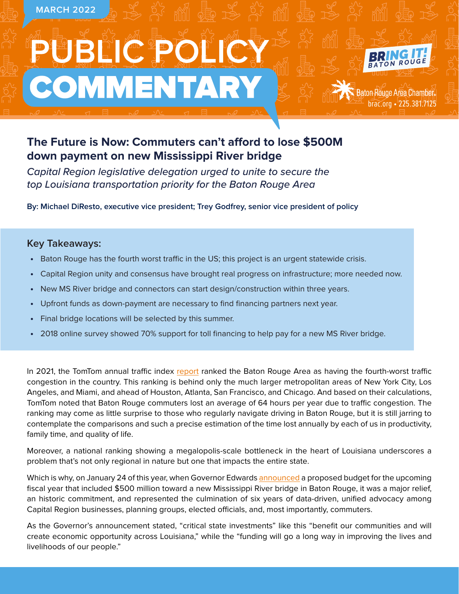

# **The Future is Now: Commuters can't afford to lose \$500M down payment on new Mississippi River bridge**

*Capital Region legislative delegation urged to unite to secure the top Louisiana transportation priority for the Baton Rouge Area*

**By: Michael DiResto, executive vice president; Trey Godfrey, senior vice president of policy**

# **Key Takeaways:**

- **•** Baton Rouge has the fourth worst traffic in the US; this project is an urgent statewide crisis.
- **•** Capital Region unity and consensus have brought real progress on infrastructure; more needed now.
- **•** New MS River bridge and connectors can start design/construction within three years.
- **•** Upfront funds as down-payment are necessary to find financing partners next year.
- **•** Final bridge locations will be selected by this summer.
- **•** 2018 online survey showed 70% support for toll financing to help pay for a new MS River bridge.

In 2021, the TomTom annual traffic index [report](https://www.tomtom.com/en_gb/traffic-index/ranking/?country=US) ranked the Baton Rouge Area as having the fourth-worst traffic congestion in the country. This ranking is behind only the much larger metropolitan areas of New York City, Los Angeles, and Miami, and ahead of Houston, Atlanta, San Francisco, and Chicago. And based on their calculations, TomTom noted that Baton Rouge commuters lost an average of 64 hours per year due to traffic congestion. The ranking may come as little surprise to those who regularly navigate driving in Baton Rouge, but it is still jarring to contemplate the comparisons and such a precise estimation of the time lost annually by each of us in productivity, family time, and quality of life.

Moreover, a national ranking showing a megalopolis-scale bottleneck in the heart of Louisiana underscores a problem that's not only regional in nature but one that impacts the entire state.

Which is why, on January 24 of this year, when Governor Edwards [announced](https://gov.louisiana.gov/index.cfm/newsroom/detail/3542) a proposed budget for the upcoming fiscal year that included \$500 million toward a new Mississippi River bridge in Baton Rouge, it was a major relief, an historic commitment, and represented the culmination of six years of data-driven, unified advocacy among Capital Region businesses, planning groups, elected officials, and, most importantly, commuters.

As the Governor's announcement stated, "critical state investments" like this "benefit our communities and will create economic opportunity across Louisiana," while the "funding will go a long way in improving the lives and livelihoods of our people."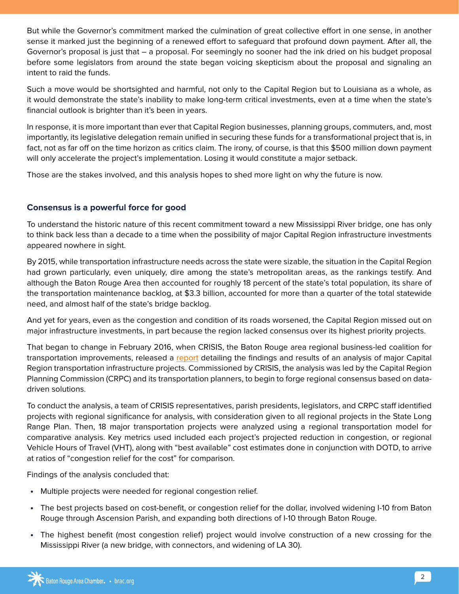But while the Governor's commitment marked the culmination of great collective effort in one sense, in another sense it marked just the beginning of a renewed effort to safeguard that profound down payment. After all, the Governor's proposal is just that – a proposal. For seemingly no sooner had the ink dried on his budget proposal before some legislators from around the state began voicing skepticism about the proposal and signaling an intent to raid the funds.

Such a move would be shortsighted and harmful, not only to the Capital Region but to Louisiana as a whole, as it would demonstrate the state's inability to make long-term critical investments, even at a time when the state's financial outlook is brighter than it's been in years.

In response, it is more important than ever that Capital Region businesses, planning groups, commuters, and, most importantly, its legislative delegation remain unified in securing these funds for a transformational project that is, in fact, not as far off on the time horizon as critics claim. The irony, of course, is that this \$500 million down payment will only accelerate the project's implementation. Losing it would constitute a major setback.

Those are the stakes involved, and this analysis hopes to shed more light on why the future is now.

### **Consensus is a powerful force for good**

To understand the historic nature of this recent commitment toward a new Mississippi River bridge, one has only to think back less than a decade to a time when the possibility of major Capital Region infrastructure investments appeared nowhere in sight.

By 2015, while transportation infrastructure needs across the state were sizable, the situation in the Capital Region had grown particularly, even uniquely, dire among the state's metropolitan areas, as the rankings testify. And although the Baton Rouge Area then accounted for roughly 18 percent of the state's total population, its share of the transportation maintenance backlog, at \$3.3 billion, accounted for more than a quarter of the total statewide need, and almost half of the state's bridge backlog.

And yet for years, even as the congestion and condition of its roads worsened, the Capital Region missed out on major infrastructure investments, in part because the region lacked consensus over its highest priority projects.

That began to change in February 2016, when CRISIS, the Baton Rouge area regional business-led coalition for transportation improvements, released a [report](http://trafficcrisis.com/2016-regional-projects-analysis) detailing the findings and results of an analysis of major Capital Region transportation infrastructure projects. Commissioned by CRISIS, the analysis was led by the Capital Region Planning Commission (CRPC) and its transportation planners, to begin to forge regional consensus based on datadriven solutions.

To conduct the analysis, a team of CRISIS representatives, parish presidents, legislators, and CRPC staff identified projects with regional significance for analysis, with consideration given to all regional projects in the State Long Range Plan. Then, 18 major transportation projects were analyzed using a regional transportation model for comparative analysis. Key metrics used included each project's projected reduction in congestion, or regional Vehicle Hours of Travel (VHT), along with "best available" cost estimates done in conjunction with DOTD, to arrive at ratios of "congestion relief for the cost" for comparison.

Findings of the analysis concluded that:

- **•** Multiple projects were needed for regional congestion relief.
- **•** The best projects based on cost-benefit, or congestion relief for the dollar, involved widening I-10 from Baton Rouge through Ascension Parish, and expanding both directions of I-10 through Baton Rouge.
- **•** The highest benefit (most congestion relief) project would involve construction of a new crossing for the Mississippi River (a new bridge, with connectors, and widening of LA 30).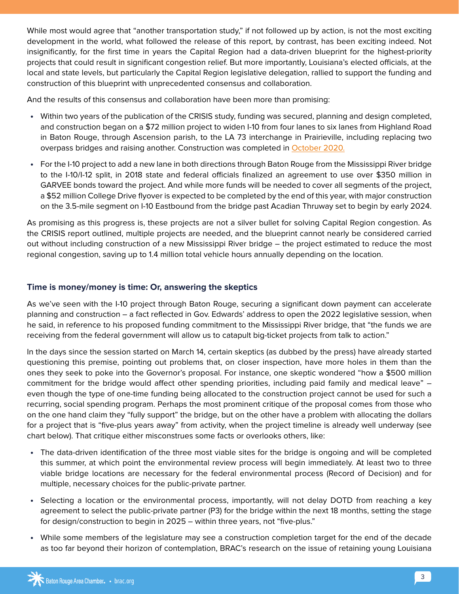While most would agree that "another transportation study," if not followed up by action, is not the most exciting development in the world, what followed the release of this report, by contrast, has been exciting indeed. Not insignificantly, for the first time in years the Capital Region had a data-driven blueprint for the highest-priority projects that could result in significant congestion relief. But more importantly, Louisiana's elected officials, at the local and state levels, but particularly the Capital Region legislative delegation, rallied to support the funding and construction of this blueprint with unprecedented consensus and collaboration.

And the results of this consensus and collaboration have been more than promising:

- **•** Within two years of the publication of the CRISIS study, funding was secured, planning and design completed, and construction began on a \$72 million project to widen I-10 from four lanes to six lanes from Highland Road in Baton Rouge, through Ascension parish, to the LA 73 interchange in Prairieville, including replacing two overpass bridges and raising another. Construction was completed in [October 2020.](https://www.katc.com/news/covering-louisiana/i-10-widening-projects-completed-in-east-baton-rouge-and-ascension-parishes)
- **•** For the I-10 project to add a new lane in both directions through Baton Rouge from the Mississippi River bridge to the I-10/I-12 split, in 2018 state and federal officials finalized an agreement to use over \$350 million in GARVEE bonds toward the project. And while more funds will be needed to cover all segments of the project, a \$52 million College Drive flyover is expected to be completed by the end of this year, with major construction on the 3.5-mile segment on I-10 Eastbound from the bridge past Acadian Thruway set to begin by early 2024.

As promising as this progress is, these projects are not a silver bullet for solving Capital Region congestion. As the CRISIS report outlined, multiple projects are needed, and the blueprint cannot nearly be considered carried out without including construction of a new Mississippi River bridge – the project estimated to reduce the most regional congestion, saving up to 1.4 million total vehicle hours annually depending on the location.

# **Time is money/money is time: Or, answering the skeptics**

As we've seen with the I-10 project through Baton Rouge, securing a significant down payment can accelerate planning and construction – a fact reflected in Gov. Edwards' address to open the 2022 legislative session, when he said, in reference to his proposed funding commitment to the Mississippi River bridge, that "the funds we are receiving from the federal government will allow us to catapult big-ticket projects from talk to action."

In the days since the session started on March 14, certain skeptics (as dubbed by the press) have already started questioning this premise, pointing out problems that, on closer inspection, have more holes in them than the ones they seek to poke into the Governor's proposal. For instance, one skeptic wondered "how a \$500 million commitment for the bridge would affect other spending priorities, including paid family and medical leave" – even though the type of one-time funding being allocated to the construction project cannot be used for such a recurring, social spending program. Perhaps the most prominent critique of the proposal comes from those who on the one hand claim they "fully support" the bridge, but on the other have a problem with allocating the dollars for a project that is "five-plus years away" from activity, when the project timeline is already well underway (see chart below). That critique either misconstrues some facts or overlooks others, like:

- **•** The data-driven identification of the three most viable sites for the bridge is ongoing and will be completed this summer, at which point the environmental review process will begin immediately. At least two to three viable bridge locations are necessary for the federal environmental process (Record of Decision) and for multiple, necessary choices for the public-private partner.
- **•** Selecting a location or the environmental process, importantly, will not delay DOTD from reaching a key agreement to select the public-private partner (P3) for the bridge within the next 18 months, setting the stage for design/construction to begin in 2025 – within three years, not "five-plus."
- **•** While some members of the legislature may see a construction completion target for the end of the decade as too far beyond their horizon of contemplation, BRAC's research on the issue of retaining young Louisiana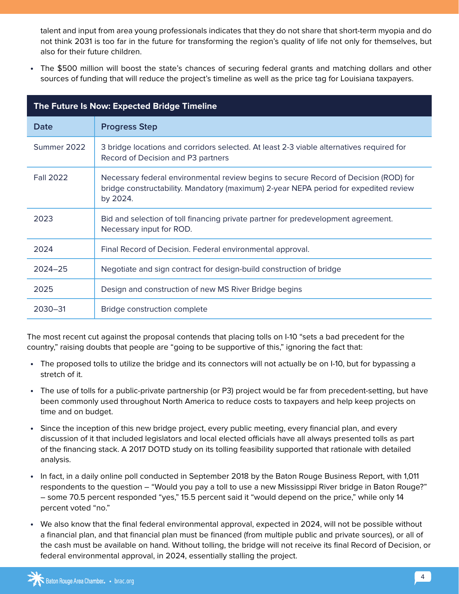talent and input from area young professionals indicates that they do not share that short-term myopia and do not think 2031 is too far in the future for transforming the region's quality of life not only for themselves, but also for their future children.

**•** The \$500 million will boost the state's chances of securing federal grants and matching dollars and other sources of funding that will reduce the project's timeline as well as the price tag for Louisiana taxpayers.

| The Future Is Now: Expected Bridge Timeline |                                                                                                                                                                                          |
|---------------------------------------------|------------------------------------------------------------------------------------------------------------------------------------------------------------------------------------------|
| Date                                        | <b>Progress Step</b>                                                                                                                                                                     |
| Summer 2022                                 | 3 bridge locations and corridors selected. At least 2-3 viable alternatives required for<br>Record of Decision and P3 partners                                                           |
| <b>Fall 2022</b>                            | Necessary federal environmental review begins to secure Record of Decision (ROD) for<br>bridge constructability. Mandatory (maximum) 2-year NEPA period for expedited review<br>by 2024. |
| 2023                                        | Bid and selection of toll financing private partner for predevelopment agreement.<br>Necessary input for ROD.                                                                            |
| 2024                                        | Final Record of Decision. Federal environmental approval.                                                                                                                                |
| $2024 - 25$                                 | Negotiate and sign contract for design-build construction of bridge                                                                                                                      |
| 2025                                        | Design and construction of new MS River Bridge begins                                                                                                                                    |
| 2030-31                                     | Bridge construction complete                                                                                                                                                             |

The most recent cut against the proposal contends that placing tolls on I-10 "sets a bad precedent for the country," raising doubts that people are "going to be supportive of this," ignoring the fact that:

- **•** The proposed tolls to utilize the bridge and its connectors will not actually be on I-10, but for bypassing a stretch of it.
- **•** The use of tolls for a public-private partnership (or P3) project would be far from precedent-setting, but have been commonly used throughout North America to reduce costs to taxpayers and help keep projects on time and on budget.
- **•** Since the inception of this new bridge project, every public meeting, every financial plan, and every discussion of it that included legislators and local elected officials have all always presented tolls as part of the financing stack. A 2017 DOTD study on its tolling feasibility supported that rationale with detailed analysis.
- **•** In fact, in a daily online poll conducted in September 2018 by the Baton Rouge Business Report, with 1,011 respondents to the question – "Would you pay a toll to use a new Mississippi River bridge in Baton Rouge?" – some 70.5 percent responded "yes," 15.5 percent said it "would depend on the price," while only 14 percent voted "no."
- **•** We also know that the final federal environmental approval, expected in 2024, will not be possible without a financial plan, and that financial plan must be financed (from multiple public and private sources), or all of the cash must be available on hand. Without tolling, the bridge will not receive its final Record of Decision, or federal environmental approval, in 2024, essentially stalling the project.